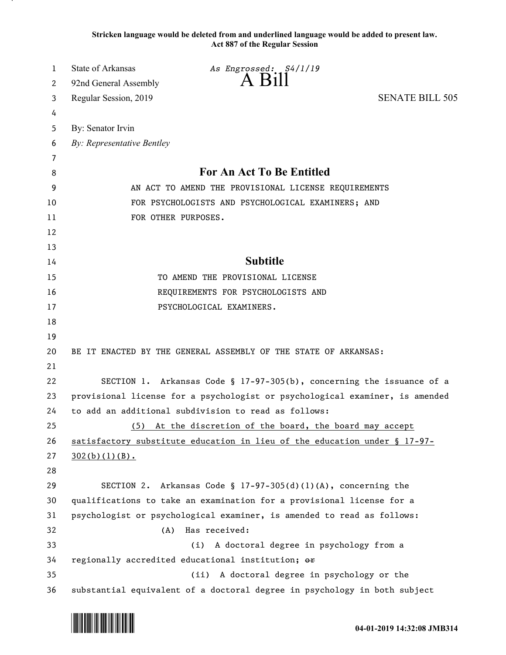**Stricken language would be deleted from and underlined language would be added to present law. Act 887 of the Regular Session**

| 1  | State of Arkansas<br>As Engrossed: S4/1/19                                   |
|----|------------------------------------------------------------------------------|
| 2  | A Bill<br>92nd General Assembly                                              |
| 3  | <b>SENATE BILL 505</b><br>Regular Session, 2019                              |
| 4  |                                                                              |
| 5  | By: Senator Irvin                                                            |
| 6  | By: Representative Bentley                                                   |
| 7  |                                                                              |
| 8  | For An Act To Be Entitled                                                    |
| 9  | AN ACT TO AMEND THE PROVISIONAL LICENSE REQUIREMENTS                         |
| 10 | FOR PSYCHOLOGISTS AND PSYCHOLOGICAL EXAMINERS; AND                           |
| 11 | FOR OTHER PURPOSES.                                                          |
| 12 |                                                                              |
| 13 |                                                                              |
| 14 | <b>Subtitle</b>                                                              |
| 15 | TO AMEND THE PROVISIONAL LICENSE                                             |
| 16 | REQUIREMENTS FOR PSYCHOLOGISTS AND                                           |
| 17 | PSYCHOLOGICAL EXAMINERS.                                                     |
| 18 |                                                                              |
| 19 |                                                                              |
| 20 | BE IT ENACTED BY THE GENERAL ASSEMBLY OF THE STATE OF ARKANSAS:              |
| 21 |                                                                              |
| 22 | SECTION 1. Arkansas Code § 17-97-305(b), concerning the issuance of a        |
| 23 | provisional license for a psychologist or psychological examiner, is amended |
| 24 | to add an additional subdivision to read as follows:                         |
| 25 | At the discretion of the board, the board may accept<br>(5)                  |
| 26 | satisfactory substitute education in lieu of the education under § 17-97-    |
| 27 | 302(b)(1)(B).                                                                |
| 28 |                                                                              |
| 29 | SECTION 2. Arkansas Code § $17-97-305(d)(1)(A)$ , concerning the             |
| 30 | qualifications to take an examination for a provisional license for a        |
| 31 | psychologist or psychological examiner, is amended to read as follows:       |
| 32 | Has received:<br>(A)                                                         |
| 33 | A doctoral degree in psychology from a<br>(i)                                |
| 34 | regionally accredited educational institution; or                            |
| 35 | A doctoral degree in psychology or the<br>(ii)                               |
| 36 | substantial equivalent of a doctoral degree in psychology in both subject    |